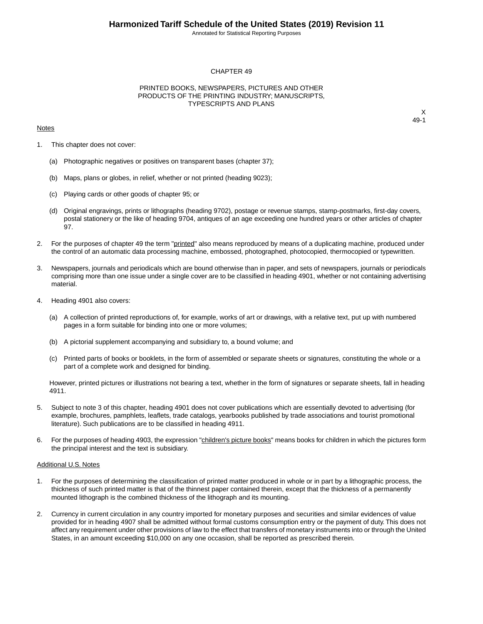Annotated for Statistical Reporting Purposes

#### CHAPTER 49

### PRINTED BOOKS, NEWSPAPERS, PICTURES AND OTHER PRODUCTS OF THE PRINTING INDUSTRY; MANUSCRIPTS, TYPESCRIPTS AND PLANS

#### **Notes**

X 49-1

- 1. This chapter does not cover:
	- (a) Photographic negatives or positives on transparent bases (chapter 37);
	- (b) Maps, plans or globes, in relief, whether or not printed (heading 9023);
	- (c) Playing cards or other goods of chapter 95; or
	- (d) Original engravings, prints or lithographs (heading 9702), postage or revenue stamps, stamp-postmarks, first-day covers, postal stationery or the like of heading 9704, antiques of an age exceeding one hundred years or other articles of chapter 97.
- 2. For the purposes of chapter 49 the term "printed" also means reproduced by means of a duplicating machine, produced under the control of an automatic data processing machine, embossed, photographed, photocopied, thermocopied or typewritten.
- 3. Newspapers, journals and periodicals which are bound otherwise than in paper, and sets of newspapers, journals or periodicals comprising more than one issue under a single cover are to be classified in heading 4901, whether or not containing advertising material.
- 4. Heading 4901 also covers:
	- (a) A collection of printed reproductions of, for example, works of art or drawings, with a relative text, put up with numbered pages in a form suitable for binding into one or more volumes;
	- (b) A pictorial supplement accompanying and subsidiary to, a bound volume; and
	- (c) Printed parts of books or booklets, in the form of assembled or separate sheets or signatures, constituting the whole or a part of a complete work and designed for binding.

However, printed pictures or illustrations not bearing a text, whether in the form of signatures or separate sheets, fall in heading 4911.

- 5. Subject to note 3 of this chapter, heading 4901 does not cover publications which are essentially devoted to advertising (for example, brochures, pamphlets, leaflets, trade catalogs, yearbooks published by trade associations and tourist promotional literature). Such publications are to be classified in heading 4911.
- 6. For the purposes of heading 4903, the expression "children's picture books" means books for children in which the pictures form the principal interest and the text is subsidiary.

#### Additional U.S. Notes

- 1. For the purposes of determining the classification of printed matter produced in whole or in part by a lithographic process, the thickness of such printed matter is that of the thinnest paper contained therein, except that the thickness of a permanently mounted lithograph is the combined thickness of the lithograph and its mounting.
- 2. Currency in current circulation in any country imported for monetary purposes and securities and similar evidences of value provided for in heading 4907 shall be admitted without formal customs consumption entry or the payment of duty. This does not affect any requirement under other provisions of law to the effect that transfers of monetary instruments into or through the United States, in an amount exceeding \$10,000 on any one occasion, shall be reported as prescribed therein.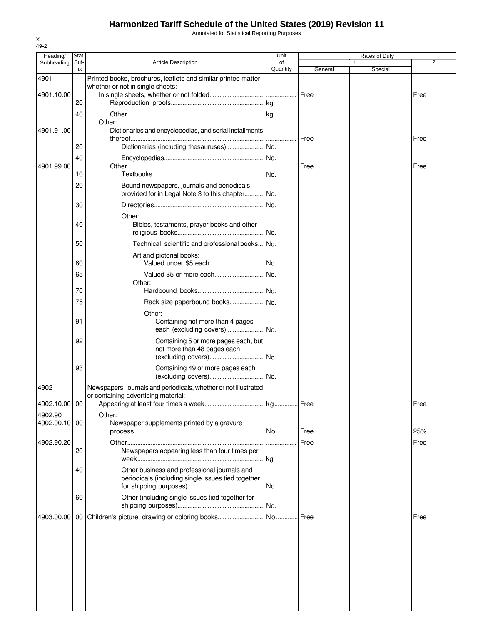### **Harmonized Tariff Schedule of the United States (2019) Revision 11**

Annotated for Statistical Reporting Purposes

| Heading/                 | Stat.       |                                                                                                         | Unit           |         | Rates of Duty |             |
|--------------------------|-------------|---------------------------------------------------------------------------------------------------------|----------------|---------|---------------|-------------|
| Subheading               | Suf-<br>fix | <b>Article Description</b>                                                                              | of<br>Quantity | General | 1<br>Special  | 2           |
| 4901                     |             | Printed books, brochures, leaflets and similar printed matter,                                          |                |         |               |             |
|                          |             | whether or not in single sheets:                                                                        |                |         |               |             |
| 4901.10.00               | 20          |                                                                                                         |                | Free    |               | Free        |
|                          | 40          |                                                                                                         |                |         |               |             |
|                          |             | Other:                                                                                                  |                |         |               |             |
| 4901.91.00               |             | Dictionaries and encyclopedias, and serial installments                                                 |                | Free    |               | Free        |
|                          | 20          |                                                                                                         |                |         |               |             |
|                          | 40          |                                                                                                         |                |         |               |             |
| 4901.99.00               |             |                                                                                                         |                | Free    |               | Free        |
|                          | 10          |                                                                                                         |                |         |               |             |
|                          | 20          | Bound newspapers, journals and periodicals<br>provided for in Legal Note 3 to this chapter No.          |                |         |               |             |
|                          | 30          |                                                                                                         |                |         |               |             |
|                          |             | Other:                                                                                                  |                |         |               |             |
|                          | 40          | Bibles, testaments, prayer books and other                                                              | No.            |         |               |             |
|                          | 50          | Technical, scientific and professional books No.                                                        |                |         |               |             |
|                          |             | Art and pictorial books:                                                                                |                |         |               |             |
|                          | 60          |                                                                                                         |                |         |               |             |
|                          | 65          | Other:                                                                                                  |                |         |               |             |
|                          | 70          |                                                                                                         |                |         |               |             |
|                          | 75          | Rack size paperbound books No.                                                                          |                |         |               |             |
|                          |             | Other:                                                                                                  |                |         |               |             |
|                          | 91          | Containing not more than 4 pages                                                                        |                |         |               |             |
|                          | 92          | Containing 5 or more pages each, but<br>not more than 48 pages each                                     |                |         |               |             |
|                          | 93          | Containing 49 or more pages each                                                                        |                |         |               |             |
| 4902                     |             | Newspapers, journals and periodicals, whether or not illustrated<br>or containing advertising material: |                |         |               |             |
| 4902.10.00 00            |             |                                                                                                         |                |         |               | Free        |
| 4902.90<br>4902.90.10 00 |             | Other:<br>Newspaper supplements printed by a gravure                                                    |                |         |               |             |
|                          |             |                                                                                                         |                |         |               | 25%<br>Free |
| 4902.90.20               | 20          | Newspapers appearing less than four times per                                                           |                |         |               |             |
|                          | 40          | Other business and professional journals and<br>periodicals (including single issues tied together      |                |         |               |             |
|                          | 60          | Other (including single issues tied together for                                                        |                |         |               |             |
| 4903.00.00               |             |                                                                                                         |                |         |               | Free        |
|                          |             |                                                                                                         |                |         |               |             |
|                          |             |                                                                                                         |                |         |               |             |
|                          |             |                                                                                                         |                |         |               |             |
|                          |             |                                                                                                         |                |         |               |             |
|                          |             |                                                                                                         |                |         |               |             |
|                          |             |                                                                                                         |                |         |               |             |
|                          |             |                                                                                                         |                |         |               |             |
|                          |             |                                                                                                         |                |         |               |             |

X 49-2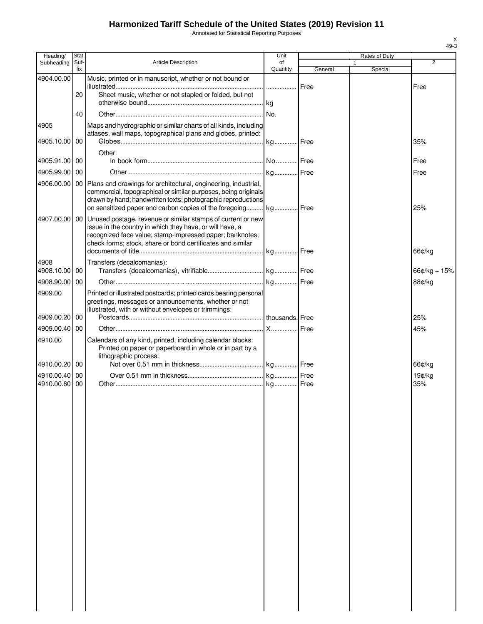# **Harmonized Tariff Schedule of the United States (2019) Revision 11**

Annotated for Statistical Reporting Purposes

| Heading/              | Stat.       |                                                                                                                                           | Unit           |         | Rates of Duty           |                |
|-----------------------|-------------|-------------------------------------------------------------------------------------------------------------------------------------------|----------------|---------|-------------------------|----------------|
| Subheading            | Suf-<br>fix | <b>Article Description</b>                                                                                                                | of<br>Quantity | General | $\mathbf{1}$<br>Special | $\overline{2}$ |
| 4904.00.00            |             | Music, printed or in manuscript, whether or not bound or                                                                                  |                |         |                         |                |
|                       | 20          | Sheet music, whether or not stapled or folded, but not                                                                                    |                |         |                         | Free           |
|                       |             |                                                                                                                                           |                |         |                         |                |
|                       | 40          |                                                                                                                                           |                |         |                         |                |
| 4905                  |             | Maps and hydrographic or similar charts of all kinds, including                                                                           |                |         |                         |                |
|                       |             | atlases, wall maps, topographical plans and globes, printed:                                                                              |                |         |                         |                |
| 4905.10.00 00         |             |                                                                                                                                           |                |         |                         | 35%            |
| 4905.91.00 00         |             | Other:                                                                                                                                    |                |         |                         | Free           |
| 4905.99.00 00         |             |                                                                                                                                           |                |         |                         | Free           |
|                       |             | 4906.00.00   00   Plans and drawings for architectural, engineering, industrial,                                                          |                |         |                         |                |
|                       |             | commercial, topographical or similar purposes, being originals                                                                            |                |         |                         |                |
|                       |             | drawn by hand; handwritten texts; photographic reproductions                                                                              |                |         |                         |                |
|                       |             | on sensitized paper and carbon copies of the foregoing kg Free                                                                            |                |         |                         | 25%            |
|                       |             | 4907.00.00   00   Unused postage, revenue or similar stamps of current or new<br>issue in the country in which they have, or will have, a |                |         |                         |                |
|                       |             | recognized face value; stamp-impressed paper; banknotes;                                                                                  |                |         |                         |                |
|                       |             | check forms; stock, share or bond certificates and similar                                                                                |                |         |                         |                |
|                       |             |                                                                                                                                           |                |         |                         | 66¢/kg         |
| 4908<br>4908.10.00 00 |             | Transfers (decalcomanias):                                                                                                                |                |         |                         |                |
|                       |             |                                                                                                                                           |                |         |                         | $66¢/kg + 15%$ |
| 4908.90.00 00         |             |                                                                                                                                           |                |         |                         | 88¢/kg         |
| 4909.00               |             | Printed or illustrated postcards; printed cards bearing personal<br>greetings, messages or announcements, whether or not                  |                |         |                         |                |
|                       |             | illustrated, with or without envelopes or trimmings:                                                                                      |                |         |                         |                |
| 4909.00.20 00         |             |                                                                                                                                           |                |         |                         | 25%            |
| 4909.00.40 00         |             |                                                                                                                                           |                |         |                         | 45%            |
| 4910.00               |             | Calendars of any kind, printed, including calendar blocks:                                                                                |                |         |                         |                |
|                       |             | Printed on paper or paperboard in whole or in part by a<br>lithographic process:                                                          |                |         |                         |                |
| 4910.00.20 00         |             |                                                                                                                                           |                |         |                         | 66¢/kg         |
| 4910.00.40 00         |             |                                                                                                                                           |                |         |                         | 19¢/kg         |
| 4910.00.60 00         |             |                                                                                                                                           |                |         |                         | 35%            |
|                       |             |                                                                                                                                           |                |         |                         |                |
|                       |             |                                                                                                                                           |                |         |                         |                |
|                       |             |                                                                                                                                           |                |         |                         |                |
|                       |             |                                                                                                                                           |                |         |                         |                |
|                       |             |                                                                                                                                           |                |         |                         |                |
|                       |             |                                                                                                                                           |                |         |                         |                |
|                       |             |                                                                                                                                           |                |         |                         |                |
|                       |             |                                                                                                                                           |                |         |                         |                |
|                       |             |                                                                                                                                           |                |         |                         |                |
|                       |             |                                                                                                                                           |                |         |                         |                |
|                       |             |                                                                                                                                           |                |         |                         |                |
|                       |             |                                                                                                                                           |                |         |                         |                |
|                       |             |                                                                                                                                           |                |         |                         |                |
|                       |             |                                                                                                                                           |                |         |                         |                |
|                       |             |                                                                                                                                           |                |         |                         |                |
|                       |             |                                                                                                                                           |                |         |                         |                |
|                       |             |                                                                                                                                           |                |         |                         |                |
|                       |             |                                                                                                                                           |                |         |                         |                |
|                       |             |                                                                                                                                           |                |         |                         |                |
|                       |             |                                                                                                                                           |                |         |                         |                |
|                       |             |                                                                                                                                           |                |         |                         |                |

X 49-3